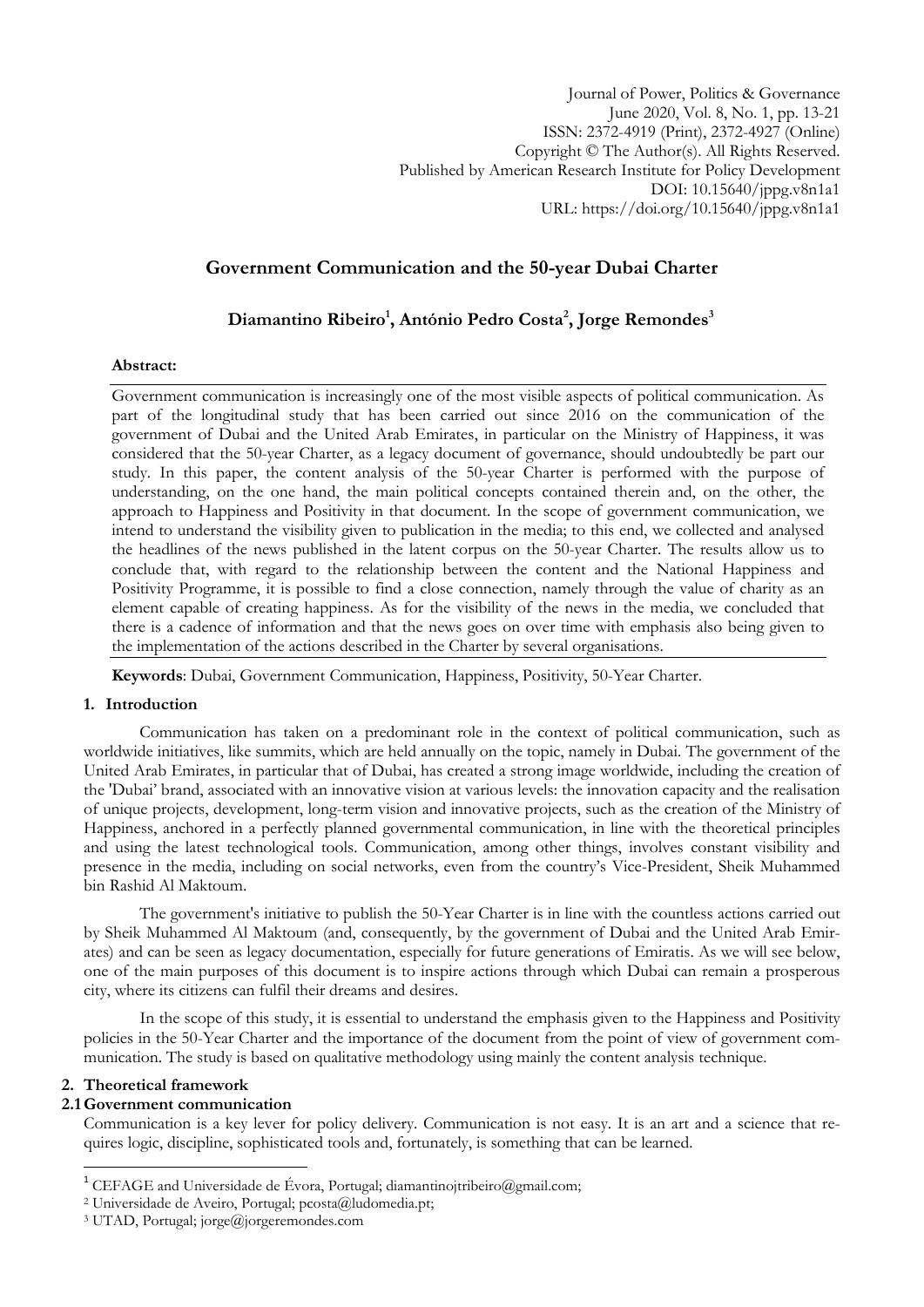Journal of Power, Politics & Governance June 2020, Vol. 8, No. 1, pp. 13-21 ISSN: 2372-4919 (Print), 2372-4927 (Online) Copyright © The Author(s). All Rights Reserved. Published by American Research Institute for Policy Development DOI: 10.15640/jppg.v8n1a1 URL: https://doi.org/10.15640/jppg.v8n1a1

# **Government Communication and the 50-year Dubai Charter**

# **Diamantino Ribeiro<sup>1</sup> , António Pedro Costa<sup>2</sup> , Jorge Remondes<sup>3</sup>**

## **Abstract:**

Government communication is increasingly one of the most visible aspects of political communication. As part of the longitudinal study that has been carried out since 2016 on the communication of the government of Dubai and the United Arab Emirates, in particular on the Ministry of Happiness, it was considered that the 50-year Charter, as a legacy document of governance, should undoubtedly be part our study. In this paper, the content analysis of the 50-year Charter is performed with the purpose of understanding, on the one hand, the main political concepts contained therein and, on the other, the approach to Happiness and Positivity in that document. In the scope of government communication, we intend to understand the visibility given to publication in the media; to this end, we collected and analysed the headlines of the news published in the latent corpus on the 50-year Charter. The results allow us to conclude that, with regard to the relationship between the content and the National Happiness and Positivity Programme, it is possible to find a close connection, namely through the value of charity as an element capable of creating happiness. As for the visibility of the news in the media, we concluded that there is a cadence of information and that the news goes on over time with emphasis also being given to the implementation of the actions described in the Charter by several organisations.

**Keywords**: Dubai, Government Communication, Happiness, Positivity, 50-Year Charter.

## **1. Introduction**

Communication has taken on a predominant role in the context of political communication, such as worldwide initiatives, like summits, which are held annually on the topic, namely in Dubai. The government of the United Arab Emirates, in particular that of Dubai, has created a strong image worldwide, including the creation of the 'Dubai" brand, associated with an innovative vision at various levels: the innovation capacity and the realisation of unique projects, development, long-term vision and innovative projects, such as the creation of the Ministry of Happiness, anchored in a perfectly planned governmental communication, in line with the theoretical principles and using the latest technological tools. Communication, among other things, involves constant visibility and presence in the media, including on social networks, even from the country"s Vice-President, Sheik Muhammed bin Rashid Al Maktoum.

The government's initiative to publish the 50-Year Charter is in line with the countless actions carried out by Sheik Muhammed Al Maktoum (and, consequently, by the government of Dubai and the United Arab Emirates) and can be seen as legacy documentation, especially for future generations of Emiratis. As we will see below, one of the main purposes of this document is to inspire actions through which Dubai can remain a prosperous city, where its citizens can fulfil their dreams and desires.

In the scope of this study, it is essential to understand the emphasis given to the Happiness and Positivity policies in the 50-Year Charter and the importance of the document from the point of view of government communication. The study is based on qualitative methodology using mainly the content analysis technique.

## **2. Theoretical framework**

<u>.</u>

#### **2.1 Government communication**

Communication is a key lever for policy delivery. Communication is not easy. It is an art and a science that requires logic, discipline, sophisticated tools and, fortunately, is something that can be learned.

<sup>&</sup>lt;sup>1</sup> CEFAGE and Universidade de Évora, Portugal; diamantinojtribeiro@gmail.com;

<sup>2</sup> Universidade de Aveiro, Portugal; pcosta@ludomedia.pt;

<sup>3</sup> UTAD, Portugal; jorge@jorgeremondes.com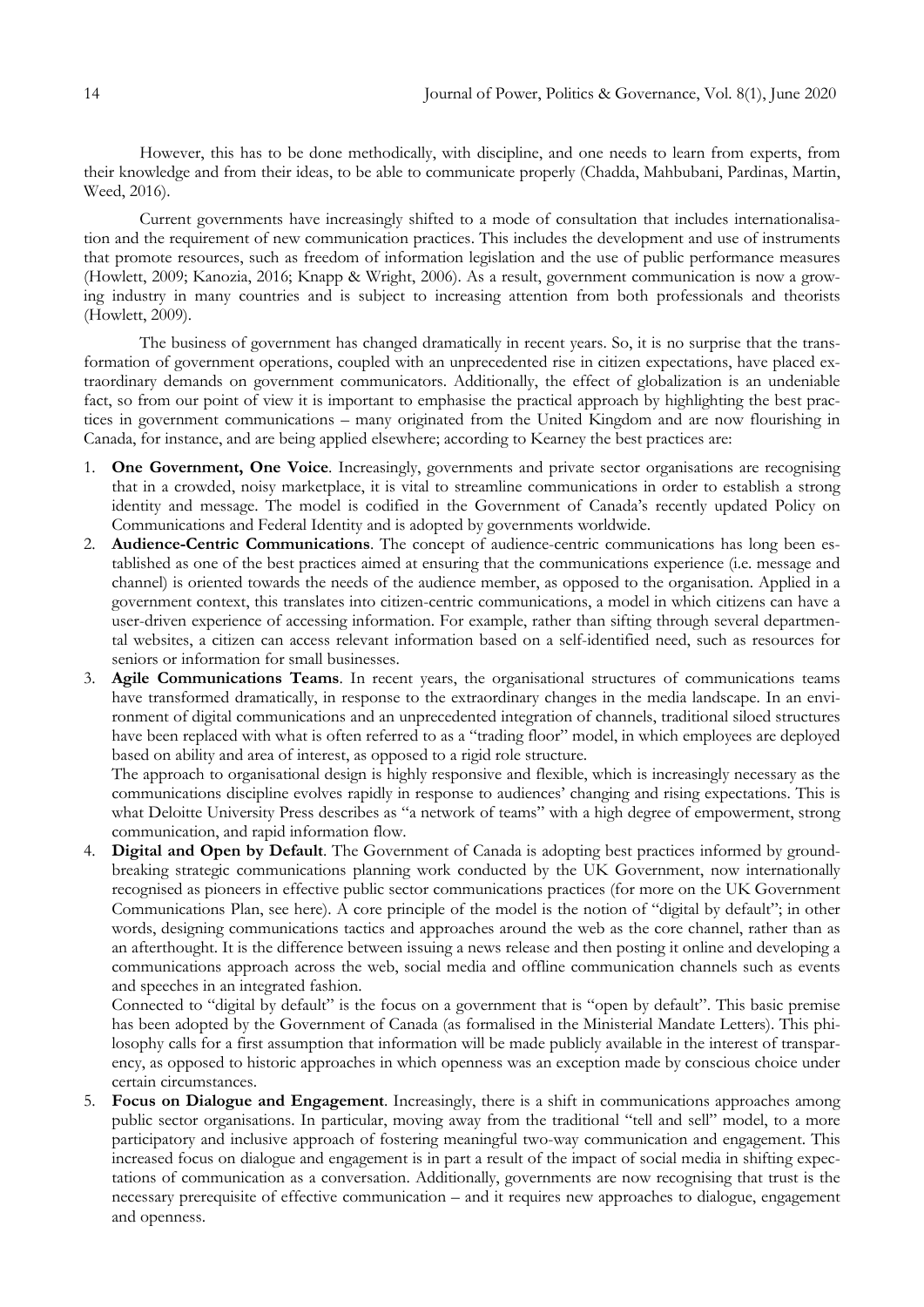However, this has to be done methodically, with discipline, and one needs to learn from experts, from their knowledge and from their ideas, to be able to communicate properly (Chadda, Mahbubani, Pardinas, Martin, Weed, 2016).

Current governments have increasingly shifted to a mode of consultation that includes internationalisation and the requirement of new communication practices. This includes the development and use of instruments that promote resources, such as freedom of information legislation and the use of public performance measures (Howlett, 2009; Kanozia, 2016; Knapp & Wright, 2006). As a result, government communication is now a growing industry in many countries and is subject to increasing attention from both professionals and theorists (Howlett, 2009).

The business of government has changed dramatically in recent years. So, it is no surprise that the transformation of government operations, coupled with an unprecedented rise in citizen expectations, have placed extraordinary demands on government communicators. Additionally, the effect of globalization is an undeniable fact, so from our point of view it is important to emphasise the practical approach by highlighting the best practices in government communications – many originated from the United Kingdom and are now flourishing in Canada, for instance, and are being applied elsewhere; according to Kearney the best practices are:

- 1. **One Government, One Voice**. Increasingly, governments and private sector organisations are recognising that in a crowded, noisy marketplace, it is vital to streamline communications in order to establish a strong identity and message. The model is codified in the Government of Canada's recently updated Policy on Communications and Federal Identity and is adopted by governments worldwide.
- 2. **Audience-Centric Communications**. The concept of audience-centric communications has long been established as one of the best practices aimed at ensuring that the communications experience (i.e. message and channel) is oriented towards the needs of the audience member, as opposed to the organisation. Applied in a government context, this translates into citizen-centric communications, a model in which citizens can have a user-driven experience of accessing information. For example, rather than sifting through several departmental websites, a citizen can access relevant information based on a self-identified need, such as resources for seniors or information for small businesses.
- 3. **Agile Communications Teams**. In recent years, the organisational structures of communications teams have transformed dramatically, in response to the extraordinary changes in the media landscape. In an environment of digital communications and an unprecedented integration of channels, traditional siloed structures have been replaced with what is often referred to as a "trading floor" model, in which employees are deployed based on ability and area of interest, as opposed to a rigid role structure.

The approach to organisational design is highly responsive and flexible, which is increasingly necessary as the communications discipline evolves rapidly in response to audiences' changing and rising expectations. This is what Deloitte University Press describes as "a network of teams" with a high degree of empowerment, strong communication, and rapid information flow.

4. **Digital and Open by Default**. The Government of Canada is adopting best practices informed by groundbreaking strategic communications planning work conducted by the UK Government, now internationally recognised as pioneers in effective public sector communications practices (for more on the UK Government Communications Plan, see here). A core principle of the model is the notion of "digital by default"; in other words, designing communications tactics and approaches around the web as the core channel, rather than as an afterthought. It is the difference between issuing a news release and then posting it online and developing a communications approach across the web, social media and offline communication channels such as events and speeches in an integrated fashion.

Connected to "digital by default" is the focus on a government that is "open by default". This basic premise has been adopted by the Government of Canada (as formalised in the Ministerial Mandate Letters). This philosophy calls for a first assumption that information will be made publicly available in the interest of transparency, as opposed to historic approaches in which openness was an exception made by conscious choice under certain circumstances.

5. **Focus on Dialogue and Engagement**. Increasingly, there is a shift in communications approaches among public sector organisations. In particular, moving away from the traditional "tell and sell" model, to a more participatory and inclusive approach of fostering meaningful two-way communication and engagement. This increased focus on dialogue and engagement is in part a result of the impact of social media in shifting expectations of communication as a conversation. Additionally, governments are now recognising that trust is the necessary prerequisite of effective communication – and it requires new approaches to dialogue, engagement and openness.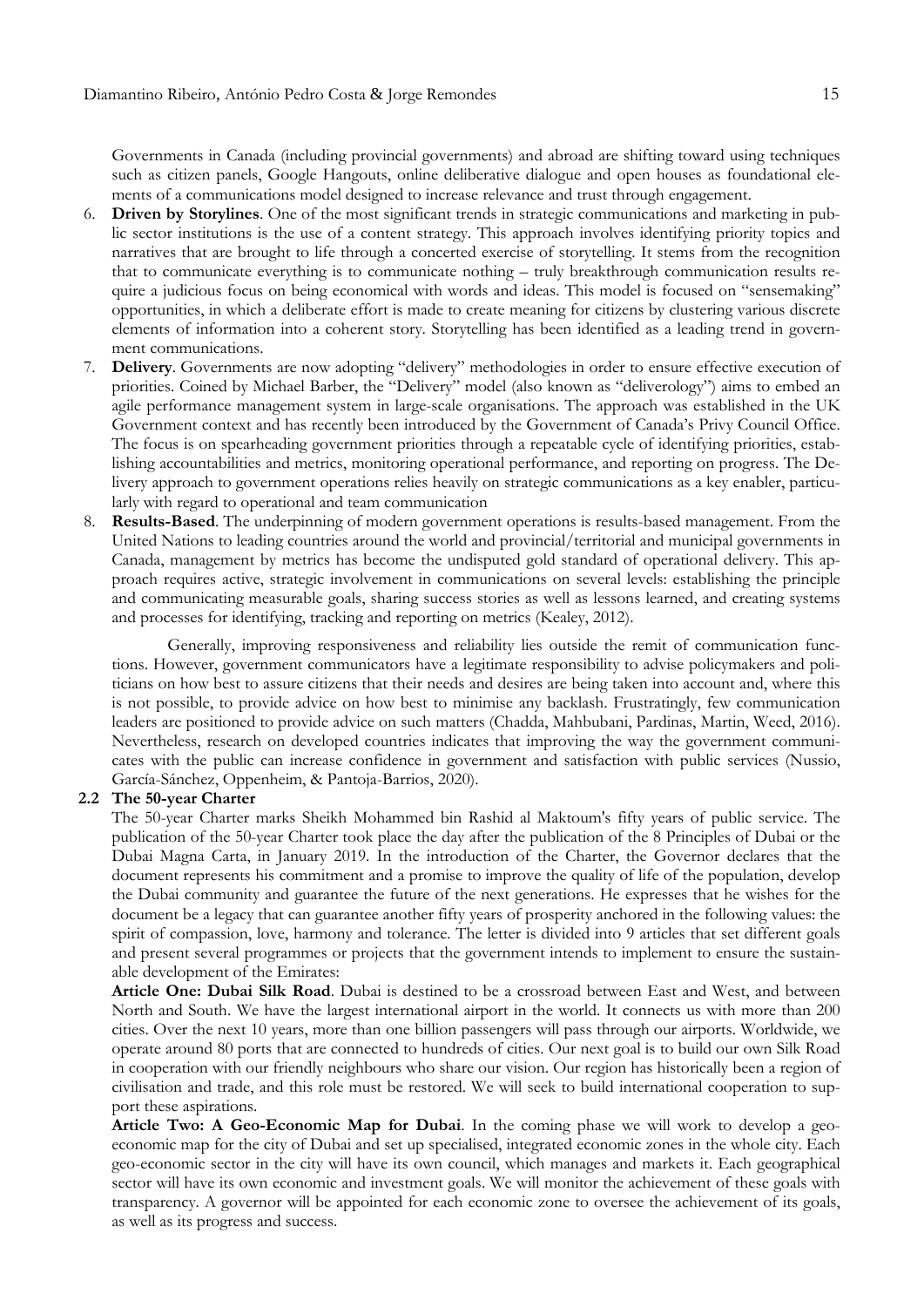Governments in Canada (including provincial governments) and abroad are shifting toward using techniques such as citizen panels, Google Hangouts, online deliberative dialogue and open houses as foundational elements of a communications model designed to increase relevance and trust through engagement.

- 6. **Driven by Storylines**. One of the most significant trends in strategic communications and marketing in public sector institutions is the use of a content strategy. This approach involves identifying priority topics and narratives that are brought to life through a concerted exercise of storytelling. It stems from the recognition that to communicate everything is to communicate nothing – truly breakthrough communication results require a judicious focus on being economical with words and ideas. This model is focused on "sensemaking" opportunities, in which a deliberate effort is made to create meaning for citizens by clustering various discrete elements of information into a coherent story. Storytelling has been identified as a leading trend in government communications.
- 7. **Delivery**. Governments are now adopting "delivery" methodologies in order to ensure effective execution of priorities. Coined by Michael Barber, the "Delivery" model (also known as "deliverology") aims to embed an agile performance management system in large-scale organisations. The approach was established in the UK Government context and has recently been introduced by the Government of Canada"s Privy Council Office. The focus is on spearheading government priorities through a repeatable cycle of identifying priorities, establishing accountabilities and metrics, monitoring operational performance, and reporting on progress. The Delivery approach to government operations relies heavily on strategic communications as a key enabler, particularly with regard to operational and team communication
- **Results-Based**. The underpinning of modern government operations is results-based management. From the United Nations to leading countries around the world and provincial/territorial and municipal governments in Canada, management by metrics has become the undisputed gold standard of operational delivery. This approach requires active, strategic involvement in communications on several levels: establishing the principle and communicating measurable goals, sharing success stories as well as lessons learned, and creating systems and processes for identifying, tracking and reporting on metrics (Kealey, 2012).

Generally, improving responsiveness and reliability lies outside the remit of communication functions. However, government communicators have a legitimate responsibility to advise policymakers and politicians on how best to assure citizens that their needs and desires are being taken into account and, where this is not possible, to provide advice on how best to minimise any backlash. Frustratingly, few communication leaders are positioned to provide advice on such matters (Chadda, Mahbubani, Pardinas, Martin, Weed, 2016). Nevertheless, research on developed countries indicates that improving the way the government communicates with the public can increase confidence in government and satisfaction with public services (Nussio, García-Sánchez, Oppenheim, & Pantoja-Barrios, 2020).

## **2.2 The 50-year Charter**

The 50-year Charter marks Sheikh Mohammed bin Rashid al Maktoum's fifty years of public service. The publication of the 50-year Charter took place the day after the publication of the 8 Principles of Dubai or the Dubai Magna Carta, in January 2019. In the introduction of the Charter, the Governor declares that the document represents his commitment and a promise to improve the quality of life of the population, develop the Dubai community and guarantee the future of the next generations. He expresses that he wishes for the document be a legacy that can guarantee another fifty years of prosperity anchored in the following values: the spirit of compassion, love, harmony and tolerance. The letter is divided into 9 articles that set different goals and present several programmes or projects that the government intends to implement to ensure the sustainable development of the Emirates:

**Article One: Dubai Silk Road**. Dubai is destined to be a crossroad between East and West, and between North and South. We have the largest international airport in the world. It connects us with more than 200 cities. Over the next 10 years, more than one billion passengers will pass through our airports. Worldwide, we operate around 80 ports that are connected to hundreds of cities. Our next goal is to build our own Silk Road in cooperation with our friendly neighbours who share our vision. Our region has historically been a region of civilisation and trade, and this role must be restored. We will seek to build international cooperation to support these aspirations.

**Article Two: A Geo-Economic Map for Dubai**. In the coming phase we will work to develop a geoeconomic map for the city of Dubai and set up specialised, integrated economic zones in the whole city. Each geo-economic sector in the city will have its own council, which manages and markets it. Each geographical sector will have its own economic and investment goals. We will monitor the achievement of these goals with transparency. A governor will be appointed for each economic zone to oversee the achievement of its goals, as well as its progress and success.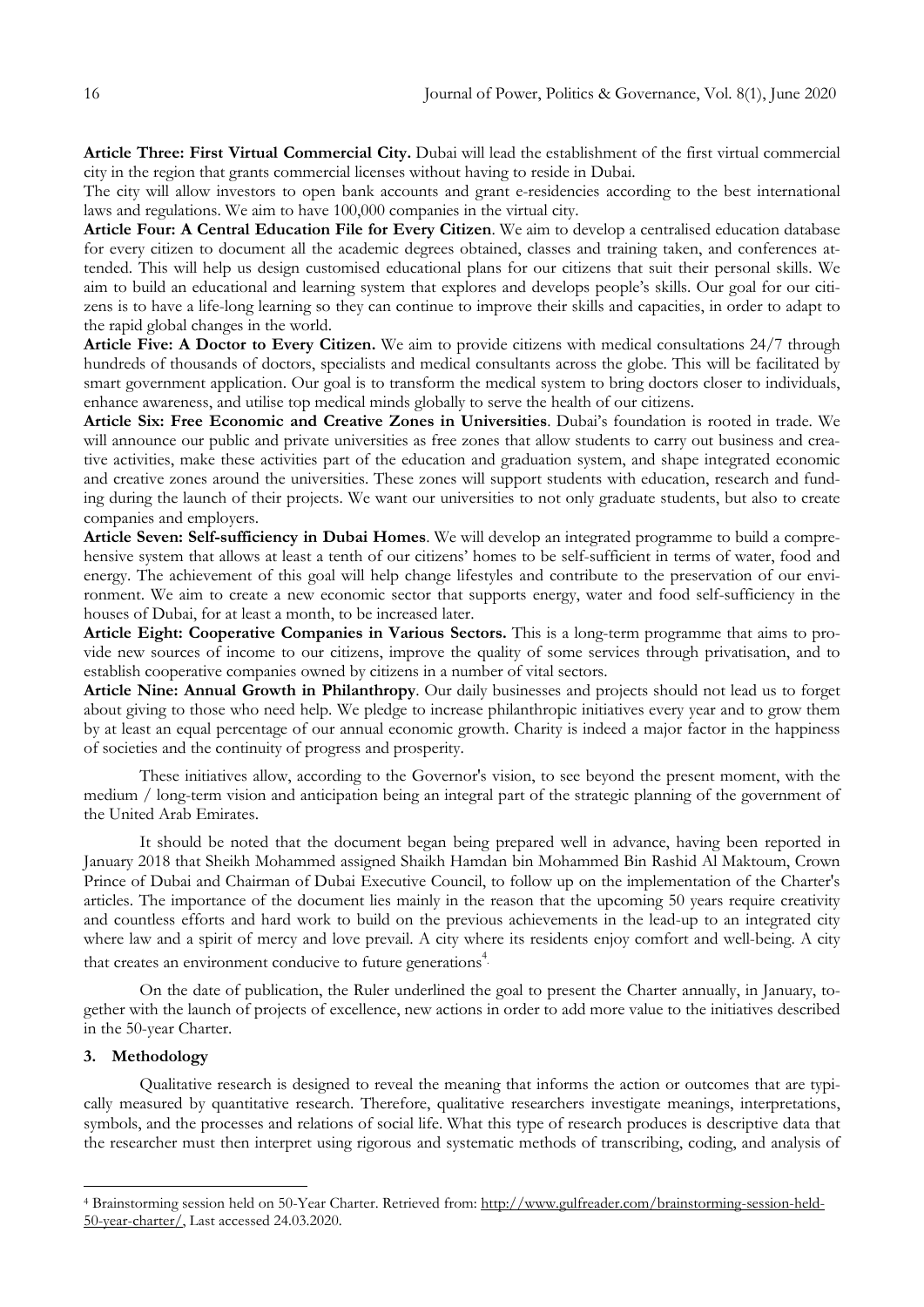**Article Three: First Virtual Commercial City.** Dubai will lead the establishment of the first virtual commercial city in the region that grants commercial licenses without having to reside in Dubai.

The city will allow investors to open bank accounts and grant e-residencies according to the best international laws and regulations. We aim to have 100,000 companies in the virtual city.

**Article Four: A Central Education File for Every Citizen**. We aim to develop a centralised education database for every citizen to document all the academic degrees obtained, classes and training taken, and conferences attended. This will help us design customised educational plans for our citizens that suit their personal skills. We aim to build an educational and learning system that explores and develops people"s skills. Our goal for our citizens is to have a life-long learning so they can continue to improve their skills and capacities, in order to adapt to the rapid global changes in the world.

**Article Five: A Doctor to Every Citizen.** We aim to provide citizens with medical consultations 24/7 through hundreds of thousands of doctors, specialists and medical consultants across the globe. This will be facilitated by smart government application. Our goal is to transform the medical system to bring doctors closer to individuals, enhance awareness, and utilise top medical minds globally to serve the health of our citizens.

**Article Six: Free Economic and Creative Zones in Universities**. Dubai"s foundation is rooted in trade. We will announce our public and private universities as free zones that allow students to carry out business and creative activities, make these activities part of the education and graduation system, and shape integrated economic and creative zones around the universities. These zones will support students with education, research and funding during the launch of their projects. We want our universities to not only graduate students, but also to create companies and employers.

**Article Seven: Self-sufficiency in Dubai Homes**. We will develop an integrated programme to build a comprehensive system that allows at least a tenth of our citizens" homes to be self-sufficient in terms of water, food and energy. The achievement of this goal will help change lifestyles and contribute to the preservation of our environment. We aim to create a new economic sector that supports energy, water and food self-sufficiency in the houses of Dubai, for at least a month, to be increased later.

**Article Eight: Cooperative Companies in Various Sectors.** This is a long-term programme that aims to provide new sources of income to our citizens, improve the quality of some services through privatisation, and to establish cooperative companies owned by citizens in a number of vital sectors.

**Article Nine: Annual Growth in Philanthropy**. Our daily businesses and projects should not lead us to forget about giving to those who need help. We pledge to increase philanthropic initiatives every year and to grow them by at least an equal percentage of our annual economic growth. Charity is indeed a major factor in the happiness of societies and the continuity of progress and prosperity.

These initiatives allow, according to the Governor's vision, to see beyond the present moment, with the medium / long-term vision and anticipation being an integral part of the strategic planning of the government of the United Arab Emirates.

It should be noted that the document began being prepared well in advance, having been reported in January 2018 that Sheikh Mohammed assigned Shaikh Hamdan bin Mohammed Bin Rashid Al Maktoum, Crown Prince of Dubai and Chairman of Dubai Executive Council, to follow up on the implementation of the Charter's articles. The importance of the document lies mainly in the reason that the upcoming 50 years require creativity and countless efforts and hard work to build on the previous achievements in the lead-up to an integrated city where law and a spirit of mercy and love prevail. A city where its residents enjoy comfort and well-being. A city that creates an environment conducive to future generations<sup>4</sup>.

On the date of publication, the Ruler underlined the goal to present the Charter annually, in January, together with the launch of projects of excellence, new actions in order to add more value to the initiatives described in the 50-year Charter.

## **3. Methodology**

1

Qualitative research is designed to reveal the meaning that informs the action or outcomes that are typically measured by quantitative research. Therefore, qualitative researchers investigate meanings, interpretations, symbols, and the processes and relations of social life. What this type of research produces is descriptive data that the researcher must then interpret using rigorous and systematic methods of transcribing, coding, and analysis of

<sup>4</sup> Brainstorming session held on 50-Year Charter. Retrieved from: [http://www.gulfreader.com/brainstorming-session-held-](http://www.gulfreader.com/brainstorming-session-held-50-year-charter/)[50-year-charter/,](http://www.gulfreader.com/brainstorming-session-held-50-year-charter/) Last accessed 24.03.2020.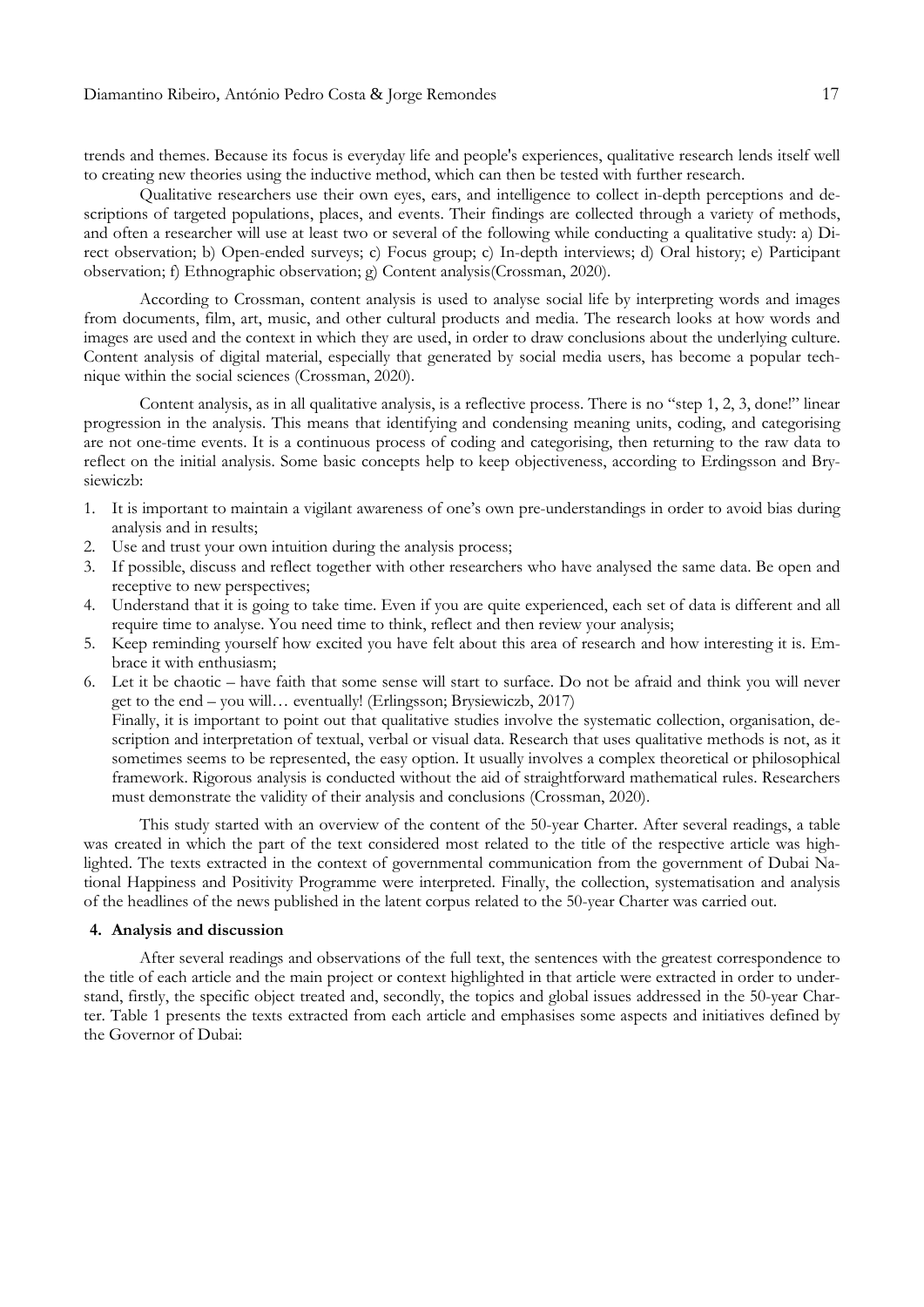trends and themes. Because its focus is everyday life and people's experiences, qualitative research lends itself well to creating new theories using the [inductive](https://www.thoughtco.com/deductive-vs-inductive-reasoning-3026549) method, which can then be tested with further research.

Qualitative researchers use their own eyes, ears, and intelligence to collect in-depth perceptions and descriptions of targeted populations, places, and events. Their findings are collected through a variety of methods, and often a researcher will use at least two or several of the following while conducting a qualitative study: a) [Di](https://www.thoughtco.com/direct-observation-definition-3026532)rect [observation;](https://www.thoughtco.com/direct-observation-definition-3026532) b) [Open-ended](https://www.thoughtco.com/sociology-survey-questions-3026559) surveys; c) Focus [group;](https://www.thoughtco.com/use-focus-groups-in-research-3026533) c) In-depth [interviews;](https://www.thoughtco.com/in-depth-interview-3026535) d) Oral [history;](http://guides.library.ucsc.edu/oralhist) e) [Participant](https://www.thoughtco.com/participant-observation-research-3026557) [observation;](https://www.thoughtco.com/participant-observation-research-3026557) f) [Ethnographic](https://www.thoughtco.com/ethnography-definition-3026313) observation; g) [Content](https://www.thoughtco.com/content-analysis-sociology-3026155) analysis(Crossman, 2020).

According to Crossman, [content](https://www.thoughtco.com/content-analysis-sociology-3026155) analysis is used to analyse social life by interpreting words and images from documents, film, art, music, and other cultural products and media. The research looks at how words and images are used and the context in which they are used, in order to draw conclusions about the underlying culture. Content analysis of digital material, especially that generated by social media users, has become a popular technique within the social sciences (Crossman, 2020).

Content analysis, as in all qualitative analysis, is a reflective process. There is no "step 1, 2, 3, done!" linear progression in the analysis. This means that identifying and condensing meaning units, coding, and categorising are not one-time events. It is a continuous process of coding and categorising, then returning to the raw data to reflect on the initial analysis. Some basic concepts help to keep objectiveness, according to Erdingsson and [Bry](https://www.sciencedirect.com/science/article/pii/S2211419X17300423#!)[siewiczb:](https://www.sciencedirect.com/science/article/pii/S2211419X17300423#!)

- 1. It is important to maintain a vigilant awareness of one"s own pre-understandings in order to avoid bias during analysis and in results;
- 2. Use and trust your own [intuition](https://www.sciencedirect.com/topics/medicine-and-dentistry/intuition) during the analysis process;
- 3. If possible, discuss and reflect together with other researchers who have analysed the same data. Be open and receptive to new perspectives;
- 4. Understand that it is going to take time. Even if you are quite experienced, each set of data is different and all require time to analyse. You need time to think, reflect and then review your analysis;
- 5. Keep reminding yourself how excited you have felt about this area of research and how interesting it is. Embrace it with enthusiasm;
- 6. Let it be chaotic have faith that some sense will start to surface. Do not be afraid and think you will never get to the end – you will… eventually! (Erlingsson; Brysiewiczb, 2017) Finally, it is important to point out that qualitative studies involve the systematic collection, organisation, description and interpretation of textual, verbal or visual data. Research that uses qualitative methods is not, as it sometimes seems to be represented, the easy option. It usually involves a complex theoretical or philosophical framework. Rigorous analysis is conducted without the aid of straightforward mathematical rules. Researchers must demonstrate the validity of their analysis and conclusions (Crossman, 2020).

This study started with an overview of the content of the 50-year Charter. After several readings, a table was created in which the part of the text considered most related to the title of the respective article was highlighted. The texts extracted in the context of governmental communication from the government of Dubai National Happiness and Positivity Programme were interpreted. Finally, the collection, systematisation and analysis of the headlines of the news published in the latent corpus related to the 50-year Charter was carried out.

# **4. Analysis and discussion**

After several readings and observations of the full text, the sentences with the greatest correspondence to the title of each article and the main project or context highlighted in that article were extracted in order to understand, firstly, the specific object treated and, secondly, the topics and global issues addressed in the 50-year Charter. Table 1 presents the texts extracted from each article and emphasises some aspects and initiatives defined by the Governor of Dubai: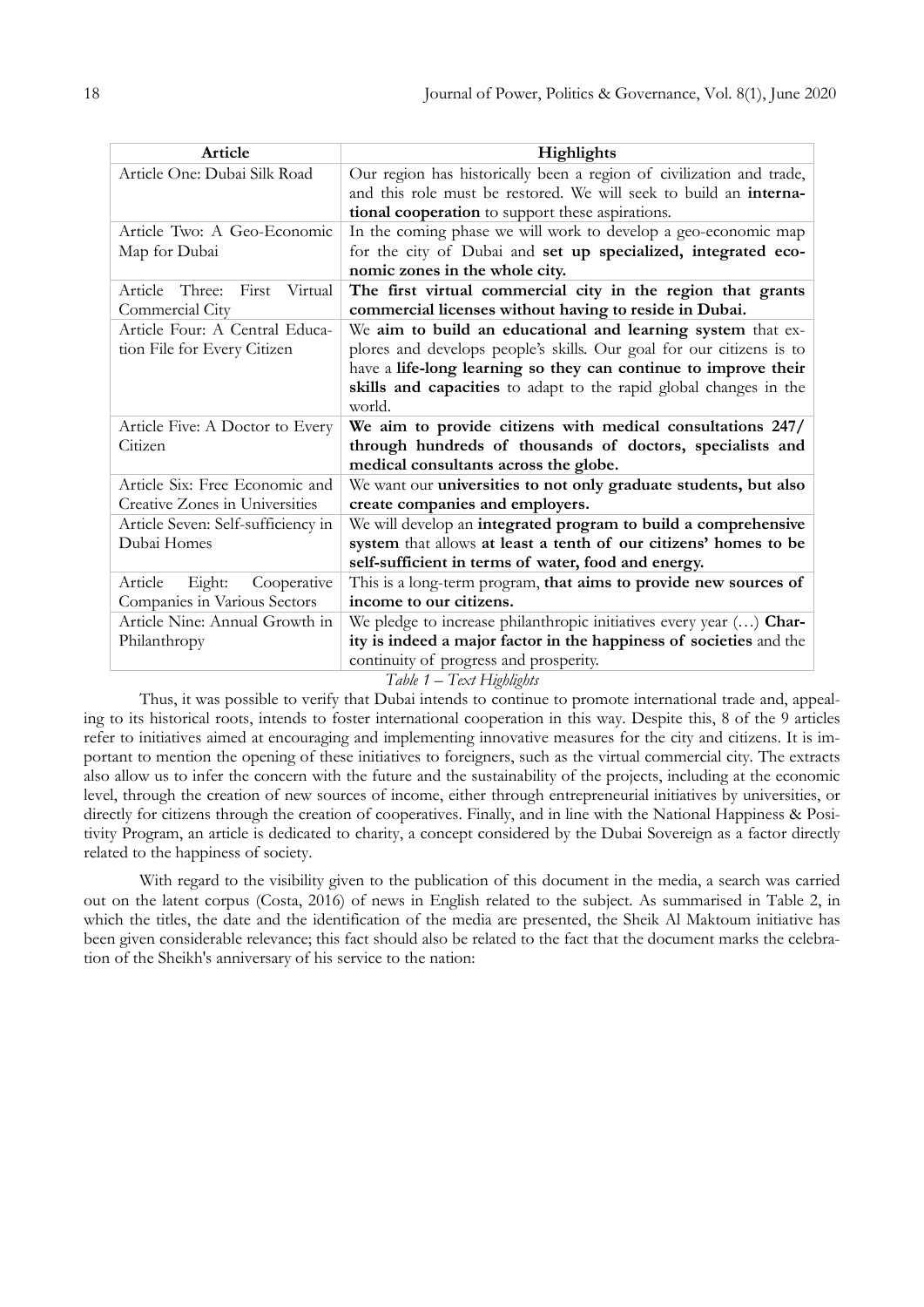| Highlights                                                            |
|-----------------------------------------------------------------------|
| Our region has historically been a region of civilization and trade,  |
| and this role must be restored. We will seek to build an interna-     |
| tional cooperation to support these aspirations.                      |
| In the coming phase we will work to develop a geo-economic map        |
| for the city of Dubai and set up specialized, integrated eco-         |
| nomic zones in the whole city.                                        |
| The first virtual commercial city in the region that grants           |
| commercial licenses without having to reside in Dubai.                |
| We aim to build an educational and learning system that ex-           |
| plores and develops people's skills. Our goal for our citizens is to  |
| have a life-long learning so they can continue to improve their       |
| skills and capacities to adapt to the rapid global changes in the     |
| world.                                                                |
| We aim to provide citizens with medical consultations 247/            |
| through hundreds of thousands of doctors, specialists and             |
| medical consultants across the globe.                                 |
| We want our universities to not only graduate students, but also      |
| create companies and employers.                                       |
| We will develop an integrated program to build a comprehensive        |
| system that allows at least a tenth of our citizens' homes to be      |
| self-sufficient in terms of water, food and energy.                   |
| This is a long-term program, that aims to provide new sources of      |
| income to our citizens.                                               |
| We pledge to increase philanthropic initiatives every year $()$ Char- |
| ity is indeed a major factor in the happiness of societies and the    |
| continuity of progress and prosperity.                                |
|                                                                       |

### *Table 1 – Text Highlights*

Thus, it was possible to verify that Dubai intends to continue to promote international trade and, appealing to its historical roots, intends to foster international cooperation in this way. Despite this, 8 of the 9 articles refer to initiatives aimed at encouraging and implementing innovative measures for the city and citizens. It is important to mention the opening of these initiatives to foreigners, such as the virtual commercial city. The extracts also allow us to infer the concern with the future and the sustainability of the projects, including at the economic level, through the creation of new sources of income, either through entrepreneurial initiatives by universities, or directly for citizens through the creation of cooperatives. Finally, and in line with the National Happiness & Positivity Program, an article is dedicated to charity, a concept considered by the Dubai Sovereign as a factor directly related to the happiness of society.

With regard to the visibility given to the publication of this document in the media, a search was carried out on the latent corpus (Costa, 2016) of news in English related to the subject. As summarised in Table 2, in which the titles, the date and the identification of the media are presented, the Sheik Al Maktoum initiative has been given considerable relevance; this fact should also be related to the fact that the document marks the celebration of the Sheikh's anniversary of his service to the nation: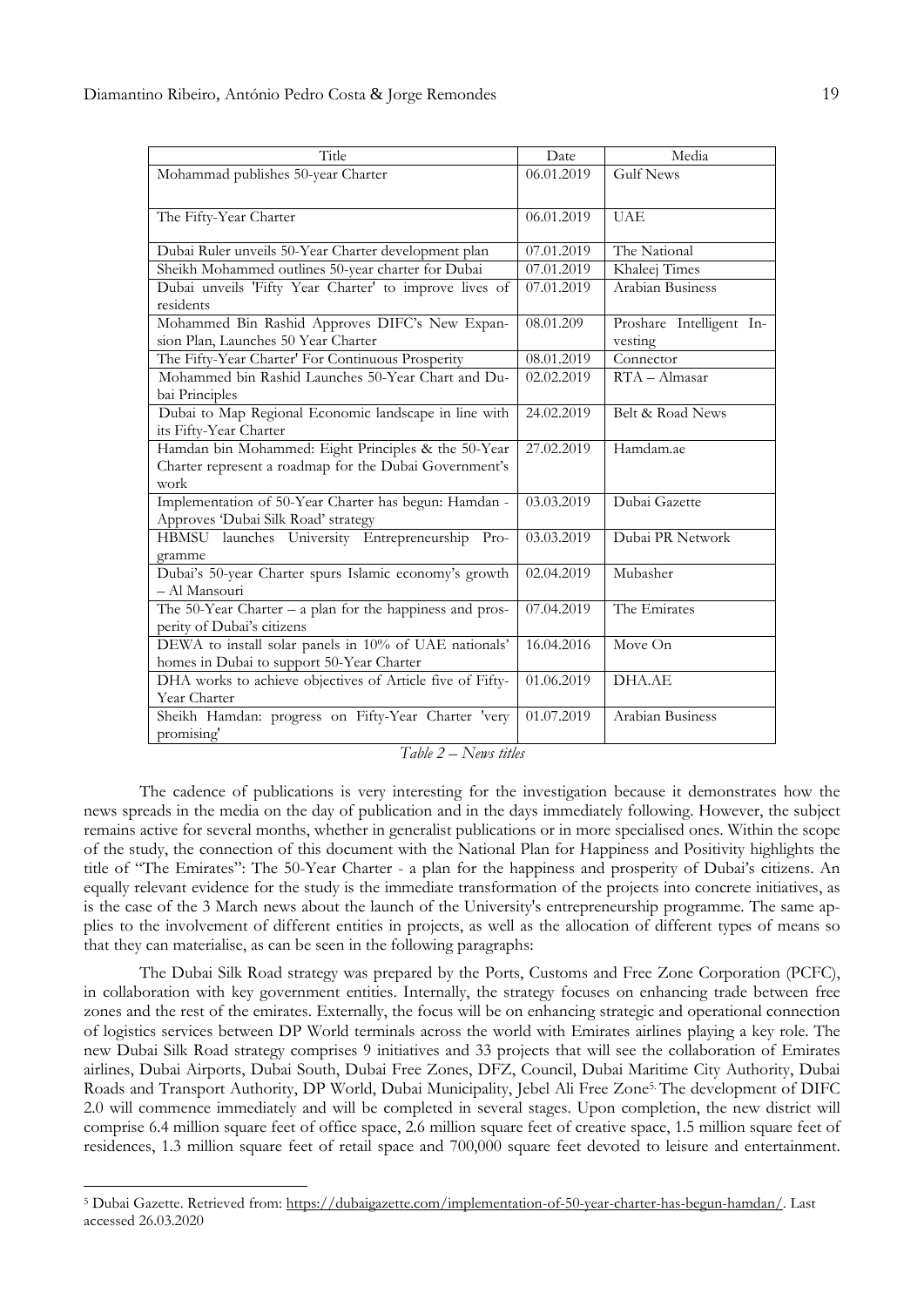| Title                                                         | Date       | Media                    |
|---------------------------------------------------------------|------------|--------------------------|
| Mohammad publishes 50-year Charter                            | 06.01.2019 | <b>Gulf News</b>         |
|                                                               |            |                          |
| The Fifty-Year Charter                                        | 06.01.2019 | <b>UAE</b>               |
|                                                               |            |                          |
| Dubai Ruler unveils 50-Year Charter development plan          | 07.01.2019 | The National             |
| Sheikh Mohammed outlines 50-year charter for Dubai            | 07.01.2019 | Khaleej Times            |
| Dubai unveils 'Fifty Year Charter' to improve lives of        | 07.01.2019 | Arabian Business         |
| residents                                                     |            |                          |
| Mohammed Bin Rashid Approves DIFC's New Expan-                | 08.01.209  | Proshare Intelligent In- |
| sion Plan, Launches 50 Year Charter                           |            | vesting                  |
| The Fifty-Year Charter' For Continuous Prosperity             | 08.01.2019 | Connector                |
| Mohammed bin Rashid Launches 50-Year Chart and Du-            | 02.02.2019 | $RTA - Almasar$          |
| bai Principles                                                |            |                          |
| Dubai to Map Regional Economic landscape in line with         | 24.02.2019 | Belt & Road News         |
| its Fifty-Year Charter                                        |            |                          |
| Hamdan bin Mohammed: Eight Principles & the 50-Year           | 27.02.2019 | Hamdam.ae                |
| Charter represent a roadmap for the Dubai Government's        |            |                          |
| work                                                          |            |                          |
| Implementation of 50-Year Charter has begun: Hamdan -         | 03.03.2019 | Dubai Gazette            |
| Approves 'Dubai Silk Road' strategy                           |            |                          |
| HBMSU launches University Entrepreneurship Pro-               | 03.03.2019 | Dubai PR Network         |
| gramme                                                        |            |                          |
| Dubai's 50-year Charter spurs Islamic economy's growth        | 02.04.2019 | Mubasher                 |
| - Al Mansouri                                                 |            |                          |
| The $50$ -Year Charter $-$ a plan for the happiness and pros- | 07.04.2019 | The Emirates             |
| perity of Dubai's citizens                                    |            |                          |
| DEWA to install solar panels in 10% of UAE nationals'         | 16.04.2016 | Move On                  |
| homes in Dubai to support 50-Year Charter                     |            |                          |
| DHA works to achieve objectives of Article five of Fifty-     | 01.06.2019 | DHA.AE                   |
| Year Charter                                                  |            |                          |
| Sheikh Hamdan: progress on Fifty-Year Charter 'very           | 01.07.2019 | Arabian Business         |
| promising'                                                    |            |                          |

*Table 2 – News titles*

The cadence of publications is very interesting for the investigation because it demonstrates how the news spreads in the media on the day of publication and in the days immediately following. However, the subject remains active for several months, whether in generalist publications or in more specialised ones. Within the scope of the study, the connection of this document with the National Plan for Happiness and Positivity highlights the title of "The Emirates": The 50-Year Charter - a plan for the happiness and prosperity of Dubai's citizens. An equally relevant evidence for the study is the immediate transformation of the projects into concrete initiatives, as is the case of the 3 March news about the launch of the University's entrepreneurship programme. The same applies to the involvement of different entities in projects, as well as the allocation of different types of means so that they can materialise, as can be seen in the following paragraphs:

The Dubai Silk Road strategy was prepared by the Ports, Customs and Free Zone Corporation (PCFC), in collaboration with key government entities. Internally, the strategy focuses on enhancing trade between free zones and the rest of the emirates. Externally, the focus will be on enhancing strategic and operational connection of logistics services between DP World terminals across the world with Emirates airlines playing a key role. The new Dubai Silk Road strategy comprises 9 initiatives and 33 projects that will see the collaboration of Emirates airlines, Dubai Airports, Dubai South, Dubai Free Zones, DFZ, Council, Dubai Maritime City Authority, Dubai Roads and Transport Authority, DP World, Dubai Municipality, Jebel Ali Free Zone5. The development of DIFC 2.0 will commence immediately and will be completed in several stages. Upon completion, the new district will comprise 6.4 million square feet of office space, 2.6 million square feet of creative space, 1.5 million square feet of residences, 1.3 million square feet of retail space and 700,000 square feet devoted to leisure and entertainment.

1

<sup>5</sup> Dubai Gazette. Retrieved from: [https://dubaigazette.com/implementation-of-50-year-charter-has-begun-hamdan/.](https://dubaigazette.com/implementation-of-50-year-charter-has-begun-hamdan/) Last accessed 26.03.2020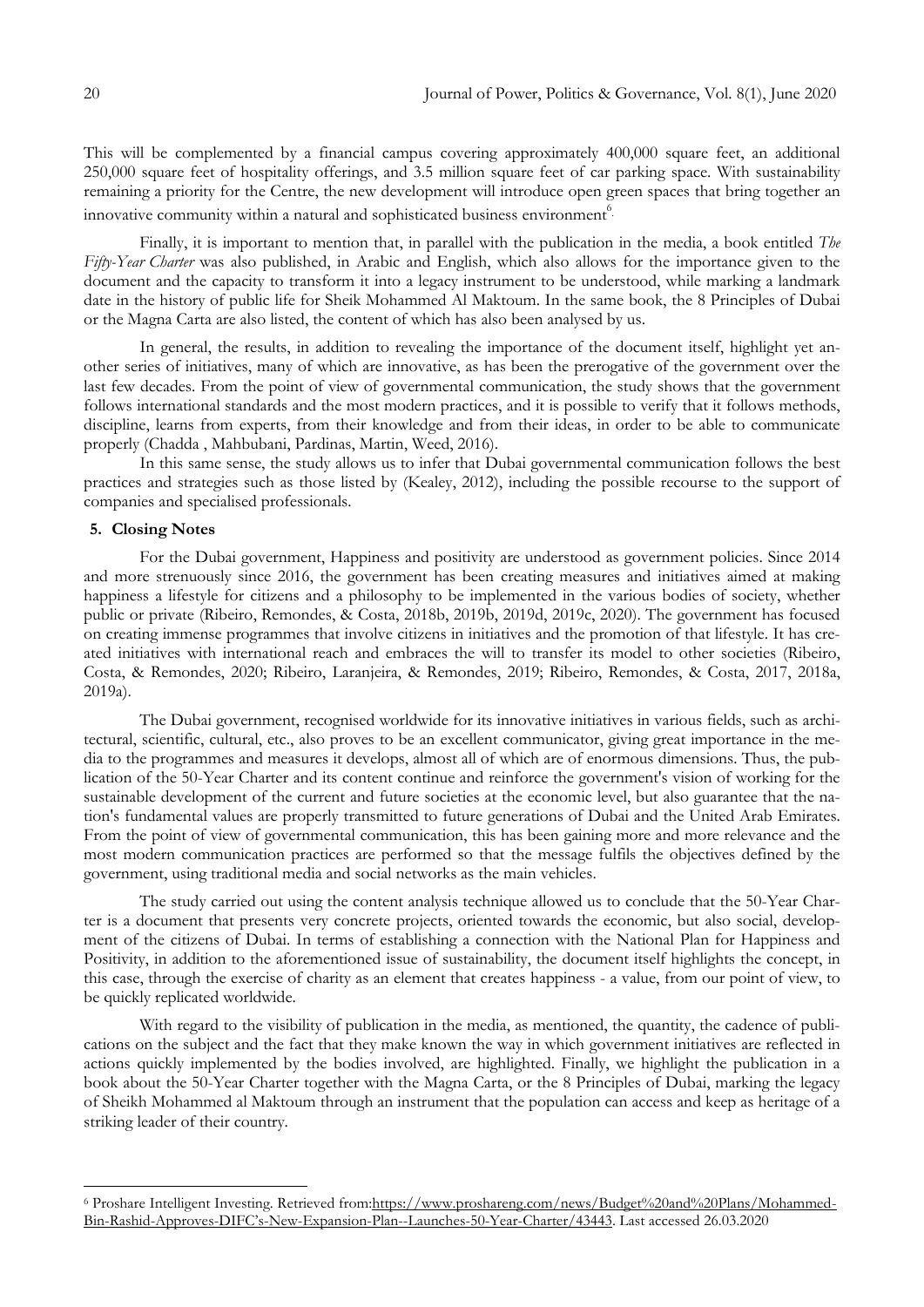This will be complemented by a financial campus covering approximately 400,000 square feet, an additional 250,000 square feet of hospitality offerings, and 3.5 million square feet of car parking space. With sustainability remaining a priority for the Centre, the new development will introduce open green spaces that bring together an innovative community within a natural and sophisticated business environment<sup>6</sup>.

Finally, it is important to mention that, in parallel with the publication in the media, a book entitled *The Fifty-Year Charter* was also published, in Arabic and English, which also allows for the importance given to the document and the capacity to transform it into a legacy instrument to be understood, while marking a landmark date in the history of public life for Sheik Mohammed Al Maktoum. In the same book, the 8 Principles of Dubai or the Magna Carta are also listed, the content of which has also been analysed by us.

In general, the results, in addition to revealing the importance of the document itself, highlight yet another series of initiatives, many of which are innovative, as has been the prerogative of the government over the last few decades. From the point of view of governmental communication, the study shows that the government follows international standards and the most modern practices, and it is possible to verify that it follows methods, discipline, learns from experts, from their knowledge and from their ideas, in order to be able to communicate properly (Chadda , Mahbubani, Pardinas, Martin, Weed, 2016).

In this same sense, the study allows us to infer that Dubai governmental communication follows the best practices and strategies such as those listed by (Kealey, 2012), including the possible recourse to the support of companies and specialised professionals.

## **5. Closing Notes**

1

For the Dubai government, Happiness and positivity are understood as government policies. Since 2014 and more strenuously since 2016, the government has been creating measures and initiatives aimed at making happiness a lifestyle for citizens and a philosophy to be implemented in the various bodies of society, whether public or private (Ribeiro, Remondes, & Costa, 2018b, 2019b, 2019d, 2019c, 2020). The government has focused on creating immense programmes that involve citizens in initiatives and the promotion of that lifestyle. It has created initiatives with international reach and embraces the will to transfer its model to other societies (Ribeiro, Costa, & Remondes, 2020; Ribeiro, Laranjeira, & Remondes, 2019; Ribeiro, Remondes, & Costa, 2017, 2018a, 2019a).

The Dubai government, recognised worldwide for its innovative initiatives in various fields, such as architectural, scientific, cultural, etc., also proves to be an excellent communicator, giving great importance in the media to the programmes and measures it develops, almost all of which are of enormous dimensions. Thus, the publication of the 50-Year Charter and its content continue and reinforce the government's vision of working for the sustainable development of the current and future societies at the economic level, but also guarantee that the nation's fundamental values are properly transmitted to future generations of Dubai and the United Arab Emirates. From the point of view of governmental communication, this has been gaining more and more relevance and the most modern communication practices are performed so that the message fulfils the objectives defined by the government, using traditional media and social networks as the main vehicles.

The study carried out using the content analysis technique allowed us to conclude that the 50-Year Charter is a document that presents very concrete projects, oriented towards the economic, but also social, development of the citizens of Dubai. In terms of establishing a connection with the National Plan for Happiness and Positivity, in addition to the aforementioned issue of sustainability, the document itself highlights the concept, in this case, through the exercise of charity as an element that creates happiness - a value, from our point of view, to be quickly replicated worldwide.

With regard to the visibility of publication in the media, as mentioned, the quantity, the cadence of publications on the subject and the fact that they make known the way in which government initiatives are reflected in actions quickly implemented by the bodies involved, are highlighted. Finally, we highlight the publication in a book about the 50-Year Charter together with the Magna Carta, or the 8 Principles of Dubai, marking the legacy of Sheikh Mohammed al Maktoum through an instrument that the population can access and keep as heritage of a striking leader of their country.

<sup>6</sup> Proshare Intelligent Investing. Retrieved from[:https://www.proshareng.com/news/Budget%20and%20Plans/Mohammed-](https://www.proshareng.com/news/Budget%20and%20Plans/Mohammed-Bin-Rashid-Approves-DIFC�s-New-Expansion-Plan--Launches-50-Year-Charter/43443)Bin-Rashid-Approves-DIFC"s[-New-Expansion-Plan--Launches-50-Year-Charter/43443.](https://www.proshareng.com/news/Budget%20and%20Plans/Mohammed-Bin-Rashid-Approves-DIFC�s-New-Expansion-Plan--Launches-50-Year-Charter/43443) Last accessed 26.03.2020